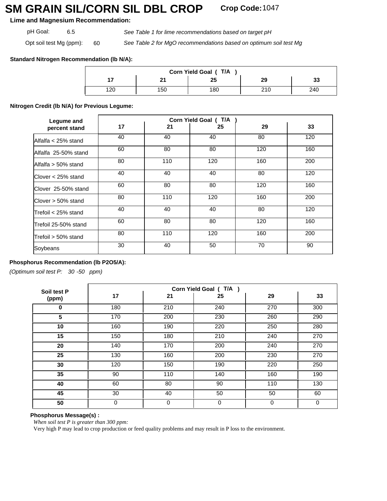# **SM GRAIN SIL/CORN SIL DBL CROP Crop Code:**<sup>1047</sup>

**Lime and Magnesium Recommendation:**

*See Table 1 for lime recommendations based on target pH*

Opt soil test Mg (ppm): 60

pH Goal: 6.5

*See Table 2 for MgO recommendations based on optimum soil test Mg*

# **Standard Nitrogen Recommendation (lb N/A):**

| Corn Yield Goal (T/A |     |     |     |          |  |
|----------------------|-----|-----|-----|----------|--|
|                      |     | 25  | 29  | 22<br>৩৩ |  |
| 120                  | 150 | 180 | 210 | 240      |  |

#### **Nitrogen Credit (lb N/A) for Previous Legume:**

| Legume and                  | Corn Yield Goal (T/A |     |     |     |     |  |
|-----------------------------|----------------------|-----|-----|-----|-----|--|
| percent stand               | 17                   | 21  | 25  | 29  | 33  |  |
| lAlfalfa < 25% stand        | 40                   | 40  | 40  | 80  | 120 |  |
| IAlfalfa 25-50% stand       | 60                   | 80  | 80  | 120 | 160 |  |
| lAlfalfa > 50% stand        | 80                   | 110 | 120 | 160 | 200 |  |
| <b>I</b> Clover < 25% stand | 40                   | 40  | 40  | 80  | 120 |  |
| lClover 25-50% stand        | 60                   | 80  | 80  | 120 | 160 |  |
| lClover > 50% stand         | 80                   | 110 | 120 | 160 | 200 |  |
| lTrefoil < 25% stand        | 40                   | 40  | 40  | 80  | 120 |  |
| lTrefoil 25-50% stand       | 60                   | 80  | 80  | 120 | 160 |  |
| lTrefoil > 50% stand        | 80                   | 110 | 120 | 160 | 200 |  |
| Soybeans                    | 30                   | 40  | 50  | 70  | 90  |  |

# **Phosphorus Recommendation (lb P2O5/A):**

*(Optimum soil test P: 30 -50 ppm)* 

| Soil test P | Corn Yield Goal (T/A) |             |     |          |             |  |
|-------------|-----------------------|-------------|-----|----------|-------------|--|
| (ppm)       | 17                    | 21          | 25  | 29       | 33          |  |
| 0           | 180                   | 210         | 240 | 270      | 300         |  |
| 5           | 170                   | 200         | 230 | 260      | 290         |  |
| 10          | 160                   | 190         | 220 | 250      | 280         |  |
| 15          | 150                   | 180         | 210 | 240      | 270         |  |
| 20          | 140                   | 170         | 200 | 240      | 270         |  |
| 25          | 130                   | 160         | 200 | 230      | 270         |  |
| 30          | 120                   | 150         | 190 | 220      | 250         |  |
| 35          | 90                    | 110         | 140 | 160      | 190         |  |
| 40          | 60                    | 80          | 90  | 110      | 130         |  |
| 45          | 30                    | 40          | 50  | 50       | 60          |  |
| 50          | 0                     | $\mathbf 0$ | 0   | $\Omega$ | $\mathbf 0$ |  |

#### **Phosphorus Message(s) :**

*When soil test P is greater than 300 ppm:*

Very high P may lead to crop production or feed quality problems and may result in P loss to the environment.